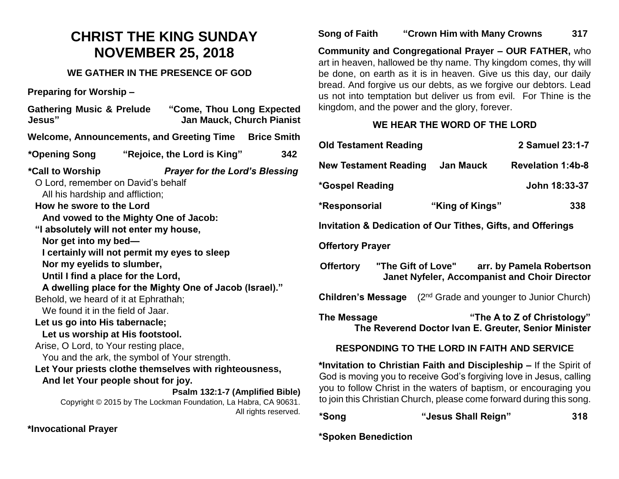# **CHRIST THE KING SUNDAY NOVEMBER 25, 2018**

## **WE GATHER IN THE PRESENCE OF GOD**

**Preparing for Worship –**

| <b>Gathering Music &amp; Prelude</b><br>Jesus"                                                                                                                                                                                                                                                                                                                                                                                                                                                                                                                                                                                                                                                                                                                | "Come, Thou Long Expected<br><b>Jan Mauck, Church Pianist</b>                                                                               |                      |
|---------------------------------------------------------------------------------------------------------------------------------------------------------------------------------------------------------------------------------------------------------------------------------------------------------------------------------------------------------------------------------------------------------------------------------------------------------------------------------------------------------------------------------------------------------------------------------------------------------------------------------------------------------------------------------------------------------------------------------------------------------------|---------------------------------------------------------------------------------------------------------------------------------------------|----------------------|
| Welcome, Announcements, and Greeting Time                                                                                                                                                                                                                                                                                                                                                                                                                                                                                                                                                                                                                                                                                                                     |                                                                                                                                             | <b>Brice Smith</b>   |
| *Opening Song                                                                                                                                                                                                                                                                                                                                                                                                                                                                                                                                                                                                                                                                                                                                                 | "Rejoice, the Lord is King"                                                                                                                 | 342                  |
| *Call to Worship<br>O Lord, remember on David's behalf<br>All his hardship and affliction;<br>How he swore to the Lord<br>And vowed to the Mighty One of Jacob:<br>"I absolutely will not enter my house,<br>Nor get into my bed-<br>I certainly will not permit my eyes to sleep<br>Nor my eyelids to slumber,<br>Until I find a place for the Lord,<br>A dwelling place for the Mighty One of Jacob (Israel)."<br>Behold, we heard of it at Ephrathah;<br>We found it in the field of Jaar.<br>Let us go into His tabernacle;<br>Let us worship at His footstool.<br>Arise, O Lord, to Your resting place,<br>You and the ark, the symbol of Your strength.<br>Let Your priests clothe themselves with righteousness,<br>And let Your people shout for joy. | <b>Prayer for the Lord's Blessing</b><br>Psalm 132:1-7 (Amplified Bible)<br>Copyright © 2015 by The Lockman Foundation, La Habra, CA 90631. | All rights reserved. |
| *Invocational Prayer                                                                                                                                                                                                                                                                                                                                                                                                                                                                                                                                                                                                                                                                                                                                          |                                                                                                                                             |                      |

## **Song of Faith "Crown Him with Many Crowns 317**

**Community and Congregational Prayer – OUR FATHER,** who art in heaven, hallowed be thy name. Thy kingdom comes, thy will be done, on earth as it is in heaven. Give us this day, our daily bread. And forgive us our debts, as we forgive our debtors. Lead us not into temptation but deliver us from evil. For Thine is the kingdom, and the power and the glory, forever.

# **WE HEAR THE WORD OF THE LORD**

| <b>Old Testament Reading</b>                                                                                                                                                                                                                                                           |                                                    | 2 Samuel 23:1-7                                                                                     |
|----------------------------------------------------------------------------------------------------------------------------------------------------------------------------------------------------------------------------------------------------------------------------------------|----------------------------------------------------|-----------------------------------------------------------------------------------------------------|
| <b>New Testament Reading</b>                                                                                                                                                                                                                                                           | Jan Mauck                                          | <b>Revelation 1:4b-8</b>                                                                            |
| *Gospel Reading                                                                                                                                                                                                                                                                        |                                                    | John 18:33-37                                                                                       |
| *Responsorial                                                                                                                                                                                                                                                                          | "King of Kings"                                    | 338                                                                                                 |
| <b>Invitation &amp; Dedication of Our Tithes, Gifts, and Offerings</b>                                                                                                                                                                                                                 |                                                    |                                                                                                     |
| <b>Offertory Prayer</b>                                                                                                                                                                                                                                                                |                                                    |                                                                                                     |
| <b>Offertory</b>                                                                                                                                                                                                                                                                       |                                                    | "The Gift of Love" arr. by Pamela Robertson<br><b>Janet Nyfeler, Accompanist and Choir Director</b> |
| <b>Children's Message</b>                                                                                                                                                                                                                                                              |                                                    | (2 <sup>nd</sup> Grade and younger to Junior Church)                                                |
| The Message                                                                                                                                                                                                                                                                            |                                                    | "The A to Z of Christology"<br>The Reverend Doctor Ivan E. Greuter, Senior Minister                 |
|                                                                                                                                                                                                                                                                                        | <b>RESPONDING TO THE LORD IN FAITH AND SERVICE</b> |                                                                                                     |
| *Invitation to Christian Faith and Discipleship - If the Spirit of<br>God is moving you to receive God's forgiving love in Jesus, calling<br>you to follow Christ in the waters of baptism, or encouraging you<br>to join this Christian Church, please come forward during this song. |                                                    |                                                                                                     |

| 318 |
|-----|
|     |

#### **\*Spoken Benediction**